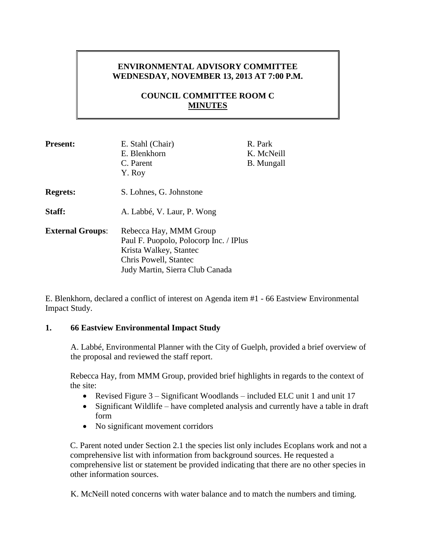# **ENVIRONMENTAL ADVISORY COMMITTEE WEDNESDAY, NOVEMBER 13, 2013 AT 7:00 P.M.**

# **COUNCIL COMMITTEE ROOM C MINUTES**

| <b>Present:</b>         | E. Stahl (Chair)<br>E. Blenkhorn<br>C. Parent<br>Y. Roy                                                                                                | R. Park<br>K. McNeill<br><b>B.</b> Mungall |
|-------------------------|--------------------------------------------------------------------------------------------------------------------------------------------------------|--------------------------------------------|
| <b>Regrets:</b>         | S. Lohnes, G. Johnstone                                                                                                                                |                                            |
| Staff:                  | A. Labbé, V. Laur, P. Wong                                                                                                                             |                                            |
| <b>External Groups:</b> | Rebecca Hay, MMM Group<br>Paul F. Puopolo, Polocorp Inc. / IPlus<br>Krista Walkey, Stantec<br>Chris Powell, Stantec<br>Judy Martin, Sierra Club Canada |                                            |

E. Blenkhorn, declared a conflict of interest on Agenda item #1 - 66 Eastview Environmental Impact Study.

#### **1. 66 Eastview Environmental Impact Study**

A. Labbé, Environmental Planner with the City of Guelph, provided a brief overview of the proposal and reviewed the staff report.

Rebecca Hay, from MMM Group, provided brief highlights in regards to the context of the site:

- Revised Figure 3 Significant Woodlands included ELC unit 1 and unit 17
- Significant Wildlife have completed analysis and currently have a table in draft form
- No significant movement corridors

C. Parent noted under Section 2.1 the species list only includes Ecoplans work and not a comprehensive list with information from background sources. He requested a comprehensive list or statement be provided indicating that there are no other species in other information sources.

K. McNeill noted concerns with water balance and to match the numbers and timing.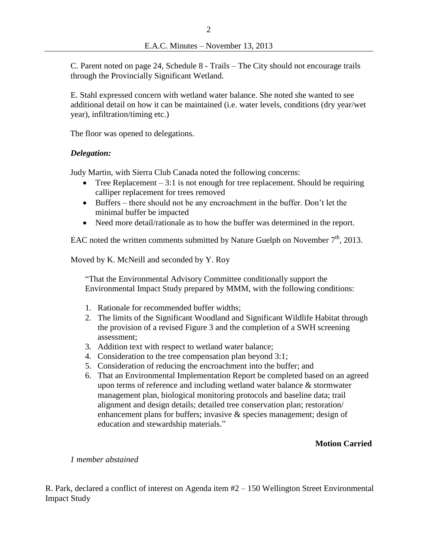C. Parent noted on page 24, Schedule 8 - Trails – The City should not encourage trails through the Provincially Significant Wetland.

E. Stahl expressed concern with wetland water balance. She noted she wanted to see additional detail on how it can be maintained (i.e. water levels, conditions (dry year/wet year), infiltration/timing etc.)

The floor was opened to delegations.

## *Delegation:*

Judy Martin, with Sierra Club Canada noted the following concerns:

- Tree Replacement  $-3:1$  is not enough for tree replacement. Should be requiring calliper replacement for trees removed
- Buffers there should not be any encroachment in the buffer. Don't let the minimal buffer be impacted
- Need more detail/rationale as to how the buffer was determined in the report.

EAC noted the written comments submitted by Nature Guelph on November  $7<sup>th</sup>$ . 2013.

Moved by K. McNeill and seconded by Y. Roy

"That the Environmental Advisory Committee conditionally support the Environmental Impact Study prepared by MMM, with the following conditions:

- 1. Rationale for recommended buffer widths;
- 2. The limits of the Significant Woodland and Significant Wildlife Habitat through the provision of a revised Figure 3 and the completion of a SWH screening assessment;
- 3. Addition text with respect to wetland water balance;
- 4. Consideration to the tree compensation plan beyond 3:1;
- 5. Consideration of reducing the encroachment into the buffer; and
- 6. That an Environmental Implementation Report be completed based on an agreed upon terms of reference and including wetland water balance & stormwater management plan, biological monitoring protocols and baseline data; trail alignment and design details; detailed tree conservation plan; restoration/ enhancement plans for buffers; invasive & species management; design of education and stewardship materials."

# **Motion Carried**

*1 member abstained*

R. Park, declared a conflict of interest on Agenda item  $#2 - 150$  Wellington Street Environmental Impact Study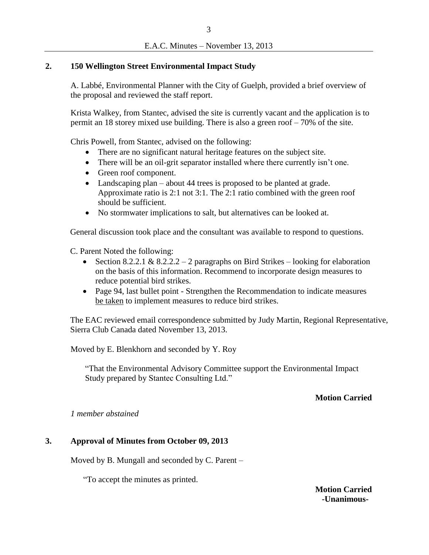# **2. 150 Wellington Street Environmental Impact Study**

A. Labbé, Environmental Planner with the City of Guelph, provided a brief overview of the proposal and reviewed the staff report.

Krista Walkey, from Stantec, advised the site is currently vacant and the application is to permit an 18 storey mixed use building. There is also a green roof – 70% of the site.

Chris Powell, from Stantec, advised on the following:

- There are no significant natural heritage features on the subject site.
- There will be an oil-grit separator installed where there currently isn't one.
- Green roof component.
- Landscaping plan about 44 trees is proposed to be planted at grade. Approximate ratio is 2:1 not 3:1. The 2:1 ratio combined with the green roof should be sufficient.
- No stormwater implications to salt, but alternatives can be looked at.

General discussion took place and the consultant was available to respond to questions.

C. Parent Noted the following:

- Section 8.2.2.1 & 8.2.2.2 2 paragraphs on Bird Strikes looking for elaboration on the basis of this information. Recommend to incorporate design measures to reduce potential bird strikes.
- Page 94, last bullet point Strengthen the Recommendation to indicate measures be taken to implement measures to reduce bird strikes.

The EAC reviewed email correspondence submitted by Judy Martin, Regional Representative, Sierra Club Canada dated November 13, 2013.

Moved by E. Blenkhorn and seconded by Y. Roy

"That the Environmental Advisory Committee support the Environmental Impact Study prepared by Stantec Consulting Ltd."

# **Motion Carried**

*1 member abstained*

# **3. Approval of Minutes from October 09, 2013**

Moved by B. Mungall and seconded by C. Parent –

"To accept the minutes as printed.

**Motion Carried -Unanimous-**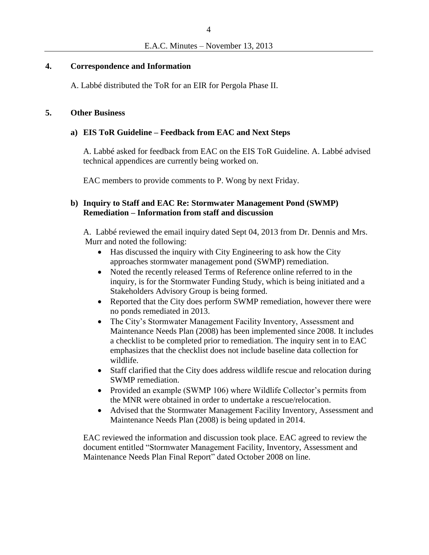### **4. Correspondence and Information**

A. Labbé distributed the ToR for an EIR for Pergola Phase II.

#### **5. Other Business**

#### **a) EIS ToR Guideline – Feedback from EAC and Next Steps**

A. Labbé asked for feedback from EAC on the EIS ToR Guideline. A. Labbé advised technical appendices are currently being worked on.

EAC members to provide comments to P. Wong by next Friday.

### **b) Inquiry to Staff and EAC Re: Stormwater Management Pond (SWMP) Remediation – Information from staff and discussion**

A. Labbé reviewed the email inquiry dated Sept 04, 2013 from Dr. Dennis and Mrs. Murr and noted the following:

- Has discussed the inquiry with City Engineering to ask how the City approaches stormwater management pond (SWMP) remediation.
- Noted the recently released Terms of Reference online referred to in the inquiry, is for the Stormwater Funding Study, which is being initiated and a Stakeholders Advisory Group is being formed.
- Reported that the City does perform SWMP remediation, however there were no ponds remediated in 2013.
- The City's Stormwater Management Facility Inventory, Assessment and Maintenance Needs Plan (2008) has been implemented since 2008. It includes a checklist to be completed prior to remediation. The inquiry sent in to EAC emphasizes that the checklist does not include baseline data collection for wildlife.
- Staff clarified that the City does address wildlife rescue and relocation during SWMP remediation.
- Provided an example (SWMP 106) where Wildlife Collector's permits from the MNR were obtained in order to undertake a rescue/relocation.
- Advised that the Stormwater Management Facility Inventory, Assessment and Maintenance Needs Plan (2008) is being updated in 2014.

EAC reviewed the information and discussion took place. EAC agreed to review the document entitled "Stormwater Management Facility, Inventory, Assessment and Maintenance Needs Plan Final Report" dated October 2008 on line.